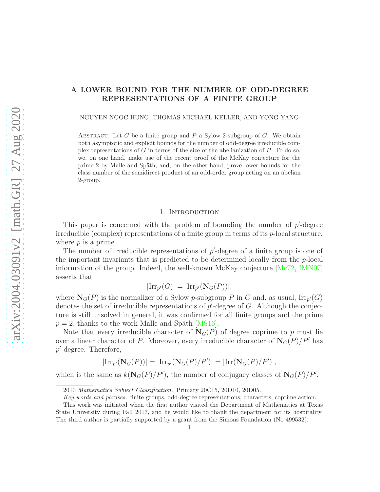# A LOWER BOUND FOR THE NUMBER OF ODD-DEGREE REPRESENTATIONS OF A FINITE GROUP

NGUYEN NGOC HUNG, THOMAS MICHAEL KELLER, AND YONG YANG

ABSTRACT. Let G be a finite group and P a Sylow 2-subgroup of G. We obtain both asymptotic and explicit bounds for the number of odd-degree irreducible complex representations of G in terms of the size of the abelianization of  $P$ . To do so, we, on one hand, make use of the recent proof of the McKay conjecture for the prime 2 by Malle and Späth, and, on the other hand, prove lower bounds for the class number of the semidirect product of an odd-order group acting on an abelian 2-group.

# 1. Introduction

This paper is concerned with the problem of bounding the number of  $p'$ -degree irreducible (complex) representations of a finite group in terms of its  $p$ -local structure, where  $p$  is a prime.

The number of irreducible representations of  $p'$ -degree of a finite group is one of the important invariants that is predicted to be determined locally from the p-local information of the group. Indeed, the well-known McKay conjecture [\[Mc72,](#page-15-0) [IMN07\]](#page-15-1) asserts that

$$
|\mathrm{Irr}_{p'}(G)|=|\mathrm{Irr}_{p'}(\mathbf{N}_G(P))|,
$$

where  $\mathbf{N}_G(P)$  is the normalizer of a Sylow p-subgroup P in G and, as usual,  $\text{Irr}_{p'}(G)$ denotes the set of irreducible representations of  $p'$ -degree of  $G$ . Although the conjecture is still unsolved in general, it was confirmed for all finite groups and the prime  $p = 2$ , thanks to the work Malle and Späth [\[MS16\]](#page-15-2).

Note that every irreducible character of  $N_G(P)$  of degree coprime to p must lie over a linear character of P. Moreover, every irreducible character of  $N_G(P)/P'$  has p ′ -degree. Therefore,

$$
|\mathrm{Irr}_{p'}(\mathbf{N}_G(P))| = |\mathrm{Irr}_{p'}(\mathbf{N}_G(P)/P')| = |\mathrm{Irr}(\mathbf{N}_G(P)/P')|,
$$

which is the same as  $k(\mathbf{N}_G(P)/P')$ , the number of conjugacy classes of  $\mathbf{N}_G(P)/P'$ .

<sup>2010</sup> Mathematics Subject Classification. Primary 20C15, 20D10, 20D05.

Key words and phrases. finite groups, odd-degree representations, characters, coprime action.

This work was initiated when the first author visited the Department of Mathematics at Texas State University during Fall 2017, and he would like to thank the department for its hospitality. The third author is partially supported by a grant from the Simons Foundation (No 499532).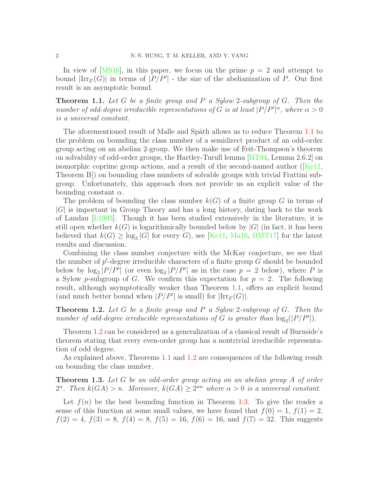In view of  $[MS16]$ , in this paper, we focus on the prime  $p = 2$  and attempt to bound  $|\text{Irr}_{2'}(G)|$  in terms of  $|P/P'|$  - the size of the abelianization of P. Our first result is an asymptotic bound.

<span id="page-1-0"></span>Theorem 1.1. *Let* G *be a finite group and* P *a Sylow* 2*-subgroup of* G*. Then the number of odd-degree irreducible representations of* G *is at least*  $|P/P'|^{\alpha}$ , where  $\alpha > 0$ *is a universal constant.*

The aforementioned result of Malle and Späth allows us to reduce Theorem [1.1](#page-1-0) to the problem on bounding the class number of a semidirect product of an odd-order group acting on an abelian 2-group. We then make use of Feit-Thompson's theorem on solvability of odd-order groups, the Hartley-Turull lemma [\[HT94,](#page-15-3) Lemma 2.6.2] on isomorphiccoprime group actions, and a result of the second-named author ( $\overline{[Ke1]}$ , Theorem B]) on bounding class numbers of solvable groups with trivial Frattini subgroup. Unfortunately, this approach does not provide us an explicit value of the bounding constant  $\alpha$ .

The problem of bounding the class number  $k(G)$  of a finite group G in terms of |G| is important in Group Theory and has a long history, dating back to the work of Landau [\[L1903\]](#page-15-5). Though it has been studied extensively in the literature, it is still open whether  $k(G)$  is logarithmically bounded below by  $|G|$  (in fact, it has been believed that  $k(G) \ge \log_3 |G|$  for every G, see [\[Ke11,](#page-15-4) [Ma16,](#page-15-6) [BMT17\]](#page-15-7) for the latest results and discussion.

Combining the class number conjecture with the McKay conjecture, we see that the number of  $p'$ -degree irreducible characters of a finite group  $G$  should be bounded below by  $\log_3|P/P'|$  (or even  $\log_2|P/P'|$  as in the case  $p = 2$  below), where P is a Sylow p-subgroup of G. We confirm this expectation for  $p = 2$ . The following result, although asymptotically weaker than Theorem [1.1,](#page-1-0) offers an explicit bound (and much better bound when  $|P/P'|$  is small) for  $|\text{Irr}_{2'}(G)|$ .

<span id="page-1-1"></span>Theorem 1.2. *Let* G *be a finite group and* P *a Sylow* 2*-subgroup of* G*. Then the number of odd-degree irreducible representations of*  $G$  *is greater than*  $\log_2(|P/P'|)$ *.* 

Theorem [1.2](#page-1-1) can be considered as a generalization of a classical result of Burnside's theorem stating that every even-order group has a nontrivial irreducible representation of odd degree.

As explained above, Theorems [1.1](#page-1-0) and [1.2](#page-1-1) are consequences of the following result on bounding the class number.

<span id="page-1-2"></span>Theorem 1.3. *Let* G *be an odd-order group acting on an abelian group* A *of order* 2<sup>n</sup>. Then  $k(GA) > n$ . Moreover,  $k(GA) \geq 2^{\alpha n}$  where  $\alpha > 0$  is a universal constant.

Let  $f(n)$  be the best bounding function in Theorem [1.3.](#page-1-2) To give the reader a sense of this function at some small values, we have found that  $f(0) = 1$ ,  $f(1) = 2$ ,  $f(2) = 4, f(3) = 8, f(4) = 8, f(5) = 16, f(6) = 16, \text{ and } f(7) = 32.$  This suggests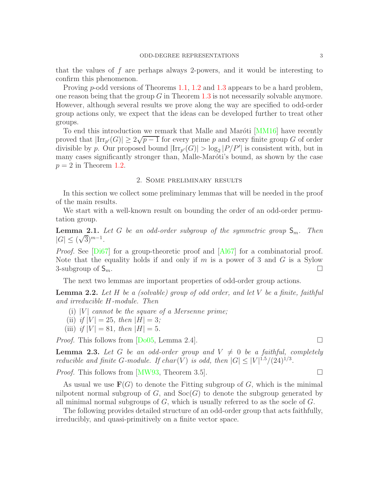that the values of f are perhaps always 2-powers, and it would be interesting to confirm this phenomenon.

Proving p-odd versions of Theorems [1.1,](#page-1-0) [1.2](#page-1-1) and [1.3](#page-1-2) appears to be a hard problem, one reason being that the group  $G$  in Theorem [1.3](#page-1-2) is not necessarily solvable anymore. However, although several results we prove along the way are specified to odd-order group actions only, we expect that the ideas can be developed further to treat other groups.

To end this introduction we remark that Malle and Marôti [\[MM16\]](#page-15-8) have recently proved that  $|\text{Irr}_{p'}(G)| \geq 2\sqrt{p-1}$  for every prime p and every finite group G of order divisible by p. Our proposed bound  $|\text{Irr}_{p'}(G)| > \log_2 |P/P'|$  is consistent with, but in many cases significantly stronger than, Malle-Maróti's bound, as shown by the case  $p = 2$  in Theorem [1.2.](#page-1-1)

# 2. Some preliminary results

In this section we collect some preliminary lemmas that will be needed in the proof of the main results.

We start with a well-known result on bounding the order of an odd-order permutation group.

<span id="page-2-2"></span>**Lemma 2.1.** Let G be an odd-order subgroup of the symmetric group  $S_m$ . Then  $|G| \le (\sqrt{3})^{m-1}$ .

*Proof.* See [\[Di67\]](#page-15-9) for a group-theoretic proof and [\[Al67\]](#page-15-10) for a combinatorial proof. Note that the equality holds if and only if  $m$  is a power of 3 and  $G$  is a Sylow 3-subgroup of  $S_m$ .

The next two lemmas are important properties of odd-order group actions.

<span id="page-2-0"></span>Lemma 2.2. *Let* H *be a (solvable) group of odd order, and let* V *be a finite, faithful and irreducible* H*-module. Then*

- (i)  $|V|$  *cannot be the square of a Mersenne prime;*
- (ii) *if*  $|V| = 25$ *, then*  $|H| = 3$ *;*
- (iii) *if*  $|V| = 81$ *, then*  $|H| = 5$ *.*

*Proof.* This follows from  $[Do05, Lemma 2.4]$ .

<span id="page-2-1"></span>**Lemma 2.3.** Let G be an odd-order group and  $V \neq 0$  be a faithful, completely *reducible and finite G-module. If*  $char(V)$  *is odd, then*  $|G| \leq |V|^{1.5}/(24)^{1/3}$ *.* 

*Proof.* This follows from [\[MW93,](#page-15-12) Theorem 3.5].

As usual we use  $\mathbf{F}(G)$  to denote the Fitting subgroup of G, which is the minimal nilpotent normal subgroup of  $G$ , and  $Soc(G)$  to denote the subgroup generated by all minimal normal subgroups of  $G$ , which is usually referred to as the socle of  $G$ .

The following provides detailed structure of an odd-order group that acts faithfully, irreducibly, and quasi-primitively on a finite vector space.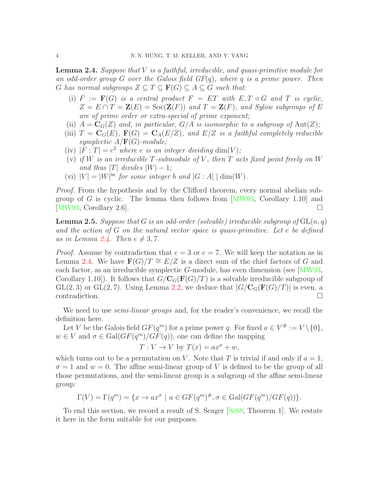<span id="page-3-0"></span>Lemma 2.4. *Suppose that* V *is a faithful, irreducible, and quasi-primitive module for an odd-order group* G *over the Galois field GF*(q)*, where* q *is a prime power. Then* G has normal subgroups  $Z \subseteq T \subseteq \mathbf{F}(G) \subseteq A \subseteq G$  such that:

- (i)  $F := \mathbf{F}(G)$  *is a central product*  $F = ET$  *with*  $E, T \triangleleft G$  *and*  $T$  *is cyclic,*  $Z = E \cap T = \mathbf{Z}(E) = \text{Soc}(\mathbf{Z}(F))$  and  $T = \mathbf{Z}(F)$ , and Sylow subgroups of E *are of prime order or extra-special of prime exponent;*
- (ii)  $A = \mathbf{C}_G(Z)$  *and, in particular,*  $G/A$  *is isomorphic to a subgroup of*  $Aut(Z)$ ;
- (iii)  $T = \mathbf{C}_G(E)$ ,  $\mathbf{F}(G) = \mathbf{C}_A(E/Z)$ , and  $E/Z$  *is a faithful completely reducible symplectic* A/F(G)*-module;*
- (iv)  $|F: T| = e^2$  *where e is an integer dividing* dim(V);
- (v) *if* W *is an irreducible* T*-submodule of* V *, then* T *acts fixed point freely on* W *and thus* |T| *divides*  $|W| - 1$ *;*
- (vi)  $|V| = |W|^{be}$  *for some integer b and*  $|G : A| \mid \dim(W)$ *.*

*Proof.* From the hypothesis and by the Clifford theorem, every normal abelian subgroup of G is cyclic. The lemma then follows from  $[MW93, Corollary 1.10]$  and [\[MW93,](#page-15-12) Corollary 2.6].

<span id="page-3-1"></span>Lemma 2.5. *Suppose that* G *is an odd-order (solvable) irreducible subgroup of* GL(n, q) *and the action of* G *on the natural vector space is quasi-primitive. Let* e *be defined as in Lemma [2.4.](#page-3-0) Then*  $e \neq 3, 7$ *.* 

*Proof.* Assume by contradiction that  $e = 3$  or  $e = 7$ . We will keep the notation as in Lemma [2.4.](#page-3-0) We have  $\mathbf{F}(G)/T \cong E/Z$  is a direct sum of the chief factors of G and each factor, as an irreducible symplectic  $G$ -module, has even dimension (see  $\langle MWS, \rangle$ Corollary 1.10]). It follows that  $G/C_G(\mathbf{F}(G)/T)$  is a solvable irreducible subgroup of  $GL(2, 3)$  or  $GL(2, 7)$ . Using Lemma [2.2,](#page-2-0) we deduce that  $|G/C_G(\mathbf{F}(G)/T)|$  is even, a contradiction contradiction.

We need to use *semi-linear groups* and, for the reader's convenience, we recall the definition here.

Let V be the Galois field  $GF(q^m)$  for a prime power q. For fixed  $a \in V^{\#} := V \setminus \{0\},\$  $w \in V$  and  $\sigma \in \text{Gal}(GF(q^m)/GF(q)),$  one can define the mapping

$$
T: V \to V \text{ by } T(x) = ax^{\sigma} + w,
$$

which turns out to be a permutation on V. Note that T is trivial if and only if  $a = 1$ ,  $\sigma = 1$  and  $w = 0$ . The affine semi-linear group of V is defined to be the group of all those permutations, and the semi-linear group is a subgroup of the affine semi-linear group:

$$
\Gamma(V) = \Gamma(q^m) = \{x \to ax^{\sigma} \mid a \in GF(q^m)^{\#}, \sigma \in Gal(GF(q^m)/GF(q))\}.
$$

To end this section, we record a result of S. Seager [\[Se88,](#page-15-13) Theorem 1]. We restate it here in the form suitable for our purposes.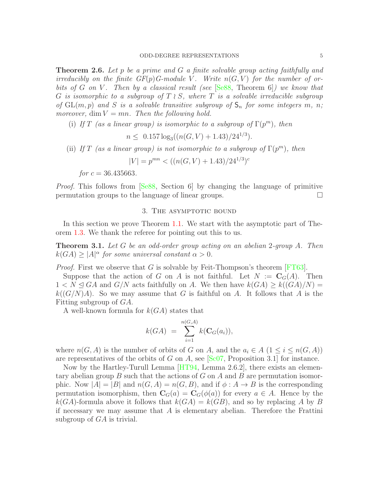<span id="page-4-1"></span>Theorem 2.6. *Let* p *be a prime and* G *a finite solvable group acting faithfully and irreducibly on the finite*  $GF(p)$  *G-module V.* Write  $n(G, V)$  for the number of or*bits of* G *on* V *. Then by a classical result (see* [\[Se88,](#page-15-13) Theorem 6]*) we know that* G *is isomorphic to a subgroup of* T ≀ S*, where* T *is a solvable irreducible subgroup of*  $GL(m, p)$  *and S is a solvable transitive subgroup of*  $S_n$  *for some integers m, n; moreover,* dim  $V = mn$ *. Then the following hold.* 

(i) If T (as a linear group) is isomorphic to a subgroup of  $\Gamma(p^m)$ , then

$$
n \leq 0.157 \log_3((n(G, V) + 1.43)/24^{1/3}).
$$

(ii) *If*  $T$  (as a linear group) is not isomorphic to a subgroup of  $\Gamma(p^m)$ , then

$$
|V| = p^{mn} < ((n(G, V) + 1.43)/24^{1/3})^c
$$

*for*  $c = 36.435663$ .

*Proof.* This follows from [\[Se88,](#page-15-13) Section 6] by changing the language of primitive permutation groups to the language of linear groups.  $\Box$ 

### 3. THE ASYMPTOTIC BOUND

In this section we prove Theorem [1.1.](#page-1-0) We start with the asymptotic part of Theorem [1.3.](#page-1-2) We thank the referee for pointing out this to us.

<span id="page-4-0"></span>Theorem 3.1. *Let* G *be an odd-order group acting on an abelian* 2*-group* A*. Then*  $k(GA) \ge |A|^{\alpha}$  for some universal constant  $\alpha > 0$ .

*Proof.* First we observe that G is solvable by Feit-Thompson's theorem [\[FT63\]](#page-15-14).

Suppose that the action of G on A is not faithful. Let  $N := \mathbf{C}_G(A)$ . Then  $1 < N \triangleleft GA$  and  $G/N$  acts faithfully on A. We then have  $k(GA) \geq k((GA)/N) =$  $k((G/N)A)$ . So we may assume that G is faithful on A. It follows that A is the Fitting subgroup of GA.

A well-known formula for  $k(GA)$  states that

$$
k(GA) = \sum_{i=1}^{n(G,A)} k(\mathbf{C}_G(a_i)),
$$

where  $n(G, A)$  is the number of orbits of G on A, and the  $a_i \in A$   $(1 \leq i \leq n(G, A))$ are representatives of the orbits of G on A, see  $\left[Sc07,$  Proposition 3.1 for instance.

Now by the Hartley-Turull Lemma [\[HT94,](#page-15-3) Lemma 2.6.2], there exists an elementary abelian group  $B$  such that the actions of  $G$  on  $A$  and  $B$  are permutation isomorphic. Now  $|A| = |B|$  and  $n(G, A) = n(G, B)$ , and if  $\phi : A \rightarrow B$  is the corresponding permutation isomorphism, then  $\mathbf{C}_G(a) = \mathbf{C}_G(\phi(a))$  for every  $a \in A$ . Hence by the  $k(GA)$ -formula above it follows that  $k(GA) = k(GB)$ , and so by replacing A by B if necessary we may assume that  $A$  is elementary abelian. Therefore the Frattini subgroup of  $GA$  is trivial.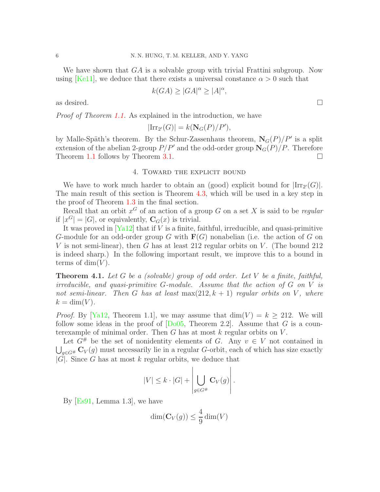We have shown that  $GA$  is a solvable group with trivial Frattini subgroup. Now using [\[Ke11\]](#page-15-4), we deduce that there exists a universal constance  $\alpha > 0$  such that

$$
k(GA) \ge |GA|^{\alpha} \ge |A|^{\alpha},
$$

as desired.  $\Box$ 

*Proof of Theorem [1.1.](#page-1-0)* As explained in the introduction, we have

$$
|\mathrm{Irr}_{2'}(G)| = k(\mathbf{N}_G(P)/P'),
$$

by Malle-Späth's theorem. By the Schur-Zassenhaus theorem,  $\mathbf{N}_G(P)/P'$  is a split extension of the abelian 2-group  $P/P'$  and the odd-order group  $\mathbf{N}_G(P)/P$ . Therefore Theorem [1.1](#page-1-0) follows by Theorem [3.1.](#page-4-0)

# 4. Toward the explicit bound

We have to work much harder to obtain an (good) explicit bound for  $|\text{Irr}_{2'}(G)|$ . The main result of this section is Theorem [4.3,](#page-8-0) which will be used in a key step in the proof of Theorem [1.3](#page-1-2) in the final section.

Recall that an orbit x <sup>G</sup> of an action of a group G on a set X is said to be *regular* if  $|x^G| = |G|$ , or equivalently,  $\mathbf{C}_G(x)$  is trivial.

It was proved in  $[Ya12]$  that if V is a finite, faithful, irreducible, and quasi-primitive G-module for an odd-order group G with  $\mathbf{F}(G)$  nonabelian (i.e. the action of G on V is not semi-linear), then G has at least 212 regular orbits on V. (The bound 212 is indeed sharp.) In the following important result, we improve this to a bound in terms of  $\dim(V)$ .

<span id="page-5-0"></span>Theorem 4.1. *Let* G *be a (solvable) group of odd order. Let* V *be a finite, faithful, irreducible, and quasi-primitive* G*-module. Assume that the action of* G *on* V *is not semi-linear. Then* G has at least  $max(212, k + 1)$  *regular orbits on* V, where  $k = \dim(V)$ .

*Proof.* By [\[Ya12,](#page-15-16) Theorem 1.1], we may assume that  $\dim(V) = k \ge 212$ . We will follow some ideas in the proof of  $\lbrack \text{Do05}, \text{Theorem 2.2} \rbrack$ . Assume that G is a counterexample of minimal order. Then G has at most  $k$  regular orbits on  $V$ .

Let  $G^{\#}$  be the set of nonidentity elements of G. Any  $v \in V$  not contained in  $\bigcup_{g\in G^{\#}} \mathbf{C}_V(g)$  must necessarily lie in a regular G-orbit, each of which has size exactly  $|\tilde{G}|$ . Since G has at most k regular orbits, we deduce that

$$
|V| \leq k \cdot |G| + \left| \bigcup_{g \in G^{\#}} \mathbf{C}_V(g) \right|.
$$

By [\[Es91,](#page-15-17) Lemma 1.3], we have

$$
\dim(\mathbf{C}_V(g)) \le \frac{4}{9} \dim(V)
$$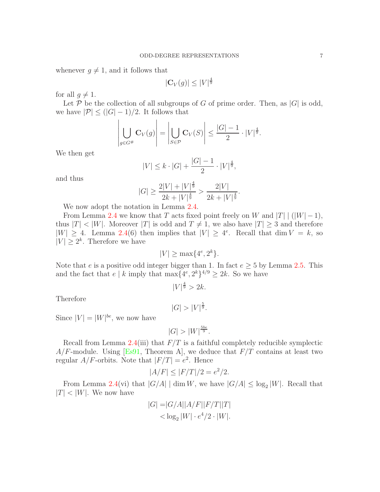whenever  $g \neq 1$ , and it follows that

$$
|\mathbf{C}_V(g)| \le |V|^{\frac{4}{9}}
$$

for all  $g \neq 1$ .

Let P be the collection of all subgroups of G of prime order. Then, as  $|G|$  is odd, we have  $|\mathcal{P}| \leq (|G|-1)/2$ . It follows that

$$
\left| \bigcup_{g \in G^{\#}} \mathbf{C}_V(g) \right| = \left| \bigcup_{S \in \mathcal{P}} \mathbf{C}_V(S) \right| \le \frac{|G| - 1}{2} \cdot |V|^{\frac{4}{9}}.
$$

We then get

$$
|V| \le k \cdot |G| + \frac{|G| - 1}{2} \cdot |V|^{\frac{4}{9}},
$$

and thus

$$
|G| \ge \frac{2|V| + |V|^{\frac{4}{9}}}{2k + |V|^{\frac{4}{9}}} > \frac{2|V|}{2k + |V|^{\frac{4}{9}}}.
$$

We now adopt the notation in Lemma [2.4.](#page-3-0)

From Lemma [2.4](#page-3-0) we know that T acts fixed point freely on W and  $|T|$  ( $|W|-1$ ), thus  $|T| < |W|$ . Moreover  $|T|$  is odd and  $T \neq 1$ , we also have  $|T| \geq 3$  and therefore  $|W| \geq 4$ . Lemma [2.4\(](#page-3-0)6) then implies that  $|V| \geq 4^e$ . Recall that dim  $V = k$ , so  $|V| \geq 2^k$ . Therefore we have

$$
|V| \ge \max\{4^e, 2^k\}.
$$

Note that e is a positive odd integer bigger than 1. In fact  $e \geq 5$  by Lemma [2.5.](#page-3-1) This and the fact that  $e \mid k$  imply that  $\max\{4^e, 2^k\}^{4/9} \geq 2k$ . So we have

$$
|V|^{\frac{4}{9}} > 2k.
$$

Therefore

 $|G| > |V|^{\frac{5}{9}}.$ 

Since  $|V| = |W|^{be}$ , we now have

$$
|G| > |W|^{\frac{5be}{9}}.
$$

Recall from Lemma [2.4\(](#page-3-0)iii) that  $F/T$  is a faithful completely reducible symplectic  $A/F$ -module. Using [\[Es91,](#page-15-17) Theorem A], we deduce that  $F/T$  contains at least two regular  $A/F$ -orbits. Note that  $|F/T| = e^2$ . Hence

$$
|A/F| \le |F/T|/2 = e^2/2.
$$

From Lemma [2.4\(](#page-3-0)vi) that  $|G/A|$  dim W, we have  $|G/A| \leq \log_2 |W|$ . Recall that  $|T| < |W|$ . We now have

$$
|G| = |G/A||A/F||F/T||T|
$$
  

$$
< \log_2 |W| \cdot e^4/2 \cdot |W|.
$$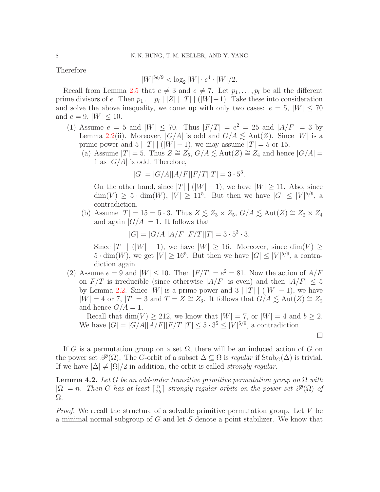Therefore

$$
|W|^{5e/9} < \log_2 |W| \cdot e^4 \cdot |W|/2.
$$

Recall from Lemma [2.5](#page-3-1) that  $e \neq 3$  and  $e \neq 7$ . Let  $p_1, \ldots, p_l$  be all the different prime divisors of e. Then  $p_1 \dots p_l |Z| |T| | (|W|-1)$ . Take these into consideration and solve the above inequality, we come up with only two cases:  $e = 5$ ,  $|W| \leq 70$ and  $e = 9$ ,  $|W| \le 10$ .

- (1) Assume  $e = 5$  and  $|W| \le 70$ . Thus  $|F/T| = e^2 = 25$  and  $|A/F| = 3$  by Lemma [2.2\(](#page-2-0)ii). Moreover,  $|G/A|$  is odd and  $G/A \lesssim \text{Aut}(Z)$ . Since  $|W|$  is a prime power and  $5 |T| | (|W| - 1)$ , we may assume  $|T| = 5$  or 15.
	- (a) Assume  $|T| = 5$ . Thus  $Z \cong Z_5$ ,  $G/A \lesssim \text{Aut}(Z) \cong Z_4$  and hence  $|G/A| =$ 1 as  $|G/A|$  is odd. Therefore,

$$
|G| = |G/A||A/F||F/T||T| = 3 \cdot 5^3.
$$

On the other hand, since  $|T|$   $(|W|-1)$ , we have  $|W| \ge 11$ . Also, since  $\dim(V) \geq 5 \cdot \dim(W), |V| \geq 11^5$ . But then we have  $|G| \leq |V|^{5/9}$ , a contradiction.

(b) Assume  $|T| = 15 = 5 \cdot 3$ . Thus  $Z \leq Z_3 \times Z_5$ ,  $G/A \leq \text{Aut}(Z) \cong Z_2 \times Z_4$ and again  $|G/A| = 1$ . It follows that

 $|G| = |G/A||A/F||F/T||T| = 3 \cdot 5^3 \cdot 3.$ 

Since  $|T|$  | (|W| − 1), we have  $|W| > 16$ . Moreover, since dim(V) >  $5 \cdot \dim(W)$ , we get  $|V| \ge 16^5$ . But then we have  $|G| \le |V|^{5/9}$ , a contradiction again.

(2) Assume  $e = 9$  and  $|W| \le 10$ . Then  $|F/T| = e^2 = 81$ . Now the action of  $A/F$ on  $F/T$  is irreducible (since otherwise  $|A/F|$  is even) and then  $|A/F| \leq 5$ by Lemma [2.2.](#page-2-0) Since  $|W|$  is a prime power and 3  $|T|$   $(|W|-1)$ , we have  $|W| = 4$  or 7,  $|T| = 3$  and  $T = Z \cong Z_3$ . It follows that  $G/A \lesssim \text{Aut}(Z) \cong Z_2$ and hence  $G/A = 1$ .

Recall that dim(V)  $\geq$  212, we know that  $|W| = 7$ , or  $|W| = 4$  and  $b \geq 2$ . We have  $|G| = |G/A||A/F||F/T||T| \le 5 \cdot 3^5 \le |V|^{5/9}$ , a contradiction.

 $\Box$ 

If G is a permutation group on a set  $\Omega$ , there will be an induced action of G on the power set  $\mathscr{P}(\Omega)$ . The G-orbit of a subset  $\Delta \subseteq \Omega$  is *regular* if  $\text{Stab}_G(\Delta)$  is trivial. If we have  $|\Delta| \neq |\Omega|/2$  in addition, the orbit is called *strongly regular*.

<span id="page-7-0"></span>Lemma 4.2. *Let* G *be an odd-order transitive primitive permutation group on* Ω *with*  $|\Omega| = n$ . Then G has at least  $\lceil \frac{n}{25} \rceil$  strongly regular orbits on the power set  $\mathscr{P}(\Omega)$  of Ω*.*

*Proof.* We recall the structure of a solvable primitive permutation group. Let V be a minimal normal subgroup of  $G$  and let  $S$  denote a point stabilizer. We know that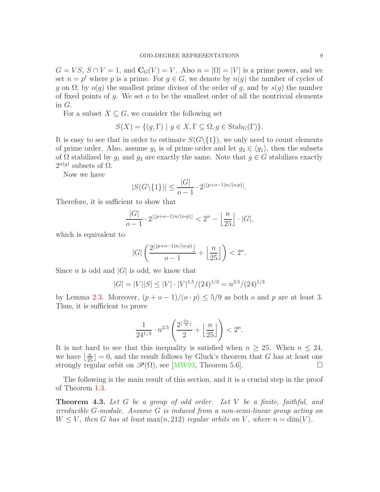$G = VS$ ,  $S \cap V = 1$ , and  $\mathbf{C}_G(V) = V$ . Also  $n = |\Omega| = |V|$  is a prime power, and we set  $n = p^t$  where p is a prime. For  $g \in G$ , we denote by  $n(g)$  the number of cycles of g on  $\Omega$ , by  $o(g)$  the smallest prime divisor of the order of g, and by  $s(g)$  the number of fixed points of  $g$ . We set  $o$  to be the smallest order of all the nontrivial elements in G.

For a subset  $X \subseteq G$ , we consider the following set

$$
S(X) = \{ (g, \Gamma) \mid g \in X, \Gamma \subseteq \Omega, g \in \text{Stab}_G(\Gamma) \}.
$$

It is easy to see that in order to estimate  $S(G\setminus\{1\})$ , we only need to count elements of prime order. Also, assume  $g_1$  is of prime order and let  $g_2 \in \langle g_1 \rangle$ , then the subsets of  $\Omega$  stabilized by  $g_1$  and  $g_2$  are exactly the same. Note that  $g \in G$  stabilizes exactly  $2^{n(g)}$  subsets of  $\Omega$ .

Now we have

$$
|S(G\backslash\{1\})| \le \frac{|G|}{o-1} \cdot 2^{\lfloor (p+o-1)n/(o\cdot p) \rfloor}.
$$

Therefore, it is sufficient to show that

$$
\frac{|G|}{o-1} \cdot 2^{\lfloor (p+o-1)n/(o\cdot p) \rfloor} < 2^n - \left\lfloor \frac{n}{25} \right\rfloor \cdot |G|,
$$

which is equivalent to

$$
|G|\left(\frac{2^{\lfloor(p+o-1)n/(o\cdot p)\rfloor}}{o-1}+\left\lfloor\frac{n}{25}\right\rfloor\right)<2^n.
$$

Since *n* is odd and  $|G|$  is odd, we know that

$$
|G| = |V||S| \le |V| \cdot |V|^{1.5} / (24)^{1/3} = n^{2.5} / (24)^{1/3}
$$

by Lemma [2.3.](#page-2-1) Moreover,  $(p + o - 1)/(o \cdot p) \le 5/9$  as both o and p are at least 3. Thus, it is sufficient to prove

$$
\frac{1}{24^{1/3}} \cdot n^{2.5} \left( \frac{2^{\lfloor \frac{5n}{9} \rfloor}}{2} + \left\lfloor \frac{n}{25} \right\rfloor \right) < 2^n.
$$

It is not hard to see that this inequality is satisfied when  $n \geq 25$ . When  $n \leq 24$ , we have  $\lfloor \frac{n}{25} \rfloor = 0$ , and the result follows by Gluck's theorem that G has at least one strongly regular orbit on  $\mathscr{P}(\Omega)$ , see [\[MW93,](#page-15-12) Theorem 5.6].

The following is the main result of this section, and it is a crucial step in the proof of Theorem [1.3.](#page-1-2)

<span id="page-8-0"></span>Theorem 4.3. *Let* G *be a group of odd order. Let* V *be a finite, faithful, and irreducible* G*-module. Assume* G *is induced from a non-semi-linear group acting on*  $W \leq V$ , then G has at least max $(n, 212)$  regular orbits on V, where  $n = \dim(V)$ .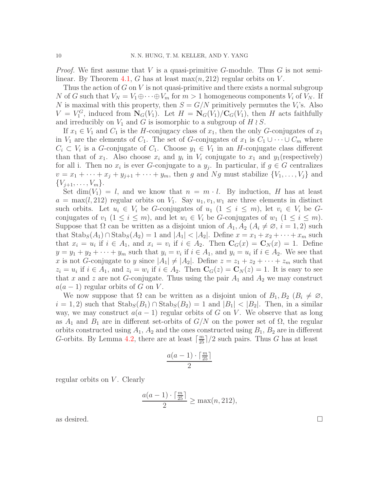*Proof.* We first assume that V is a quasi-primitive G-module. Thus G is not semi-linear. By Theorem [4.1,](#page-5-0) G has at least  $\max(n, 212)$  regular orbits on V.

Thus the action of  $G$  on  $V$  is not quasi-primitive and there exists a normal subgroup N of G such that  $V_N = V_1 \oplus \cdots \oplus V_m$  for  $m > 1$  homogeneous components  $V_i$  of  $V_N$ . If N is maximal with this property, then  $S = G/N$  primitively permutes the  $V_i$ 's. Also  $V = V_1^G$ , induced from  $N_G(V_1)$ . Let  $H = N_G(V_1)/C_G(V_1)$ , then H acts faithfully and irreducibly on  $V_1$  and G is isomorphic to a subgroup of H  $\wr$  S.

If  $x_1 \in V_1$  and  $C_1$  is the H-conjugacy class of  $x_1$ , then the only G-conjugates of  $x_1$ in  $V_1$  are the elements of  $C_1$ . The set of G-conjugates of  $x_1$  is  $C_1 \cup \cdots \cup C_m$  where  $C_i \subset V_i$  is a G-conjugate of  $C_1$ . Choose  $y_1 \in V_1$  in an H-conjugate class different than that of  $x_1$ . Also choose  $x_i$  and  $y_i$  in  $V_i$  conjugate to  $x_1$  and  $y_1$  (respectively) for all i. Then no  $x_i$  is ever G-conjugate to a  $y_j$ . In particular, if  $g \in G$  centralizes  $v = x_1 + \cdots + x_j + y_{j+1} + \cdots + y_m$ , then g and Ng must stabilize  $\{V_1, \ldots, V_j\}$  and  $\{V_{j+1}, \ldots, V_m\}.$ 

Set dim(V<sub>1</sub>) = l, and we know that  $n = m \cdot l$ . By induction, H has at least  $a = \max(l, 212)$  regular orbits on  $V_1$ . Say  $u_1, v_1, w_1$  are three elements in distinct such orbits. Let  $u_i \in V_i$  be G-conjugates of  $u_1$   $(1 \leq i \leq m)$ , let  $v_i \in V_i$  be Gconjugates of  $v_1$   $(1 \leq i \leq m)$ , and let  $w_i \in V_i$  be G-conjugates of  $w_1$   $(1 \leq i \leq m)$ . Suppose that  $\Omega$  can be written as a disjoint union of  $A_1, A_2 \ (A_i \neq \emptyset, i = 1, 2)$  such that  $\text{Stab}_S(A_1) \cap \text{Stab}_S(A_2) = 1$  and  $|A_1| < |A_2|$ . Define  $x = x_1 + x_2 + \cdots + x_m$  such that  $x_i = u_i$  if  $i \in A_1$ , and  $x_i = v_i$  if  $i \in A_2$ . Then  $\mathbf{C}_G(x) = \mathbf{C}_N(x) = 1$ . Define  $y = y_1 + y_2 + \cdots + y_m$  such that  $y_i = v_i$  if  $i \in A_1$ , and  $y_i = u_i$  if  $i \in A_2$ . We see that x is not G-conjugate to y since  $|A_1| \neq |A_2|$ . Define  $z = z_1 + z_2 + \cdots + z_m$  such that  $z_i = u_i$  if  $i \in A_1$ , and  $z_i = w_i$  if  $i \in A_2$ . Then  $\mathbf{C}_G(z) = \mathbf{C}_N(z) = 1$ . It is easy to see that x and z are not G-conjugate. Thus using the pair  $A_1$  and  $A_2$  we may construct  $a(a-1)$  regular orbits of G on V.

We now suppose that  $\Omega$  can be written as a disjoint union of  $B_1, B_2 \ (B_i \neq \emptyset, \mathbb{Z})$  $i = 1, 2$ ) such that  $\text{Stab}_S(B_1) \cap \text{Stab}_S(B_2) = 1$  and  $|B_1| < |B_2|$ . Then, in a similar way, we may construct  $a(a - 1)$  regular orbits of G on V. We observe that as long as  $A_1$  and  $B_1$  are in different set-orbits of  $G/N$  on the power set of  $\Omega$ , the regular orbits constructed using  $A_1$ ,  $A_2$  and the ones constructed using  $B_1$ ,  $B_2$  are in different G-orbits. By Lemma [4.2,](#page-7-0) there are at least  $\lceil \frac{m}{25} \rceil/2$  such pairs. Thus G has at least

$$
\frac{a(a-1)\cdot\lceil\frac{m}{25}\rceil}{2}
$$

regular orbits on  $V$ . Clearly

$$
\frac{a(a-1)\cdot\lceil\frac{m}{25}\rceil}{2} \ge \max(n, 212),
$$

as desired.  $\Box$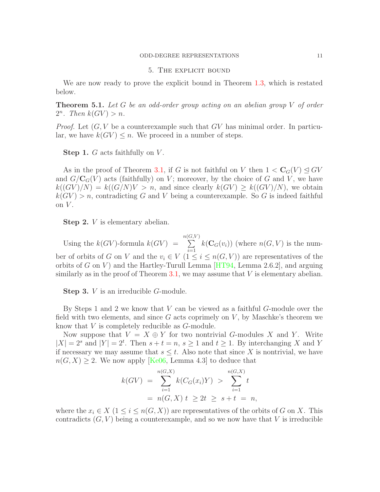#### 5. The explicit bound

We are now ready to prove the explicit bound in Theorem [1.3,](#page-1-2) which is restated below.

<span id="page-10-0"></span>Theorem 5.1. *Let* G *be an odd-order group acting on an abelian group* V *of order*  $2^n$ *.* Then  $k(GV) > n$ *.* 

*Proof.* Let  $(G, V)$  be a counterexample such that  $GV$  has minimal order. In particular, we have  $k(GV) \leq n$ . We proceed in a number of steps.

Step 1. G acts faithfully on V.

As in the proof of Theorem [3.1,](#page-4-0) if G is not faithful on V then  $1 < C_G(V) \leq GV$ and  $G/C_G(V)$  acts (faithfully) on V; moreover, by the choice of G and V, we have  $k((GV)/N) = k((G/N)V > n$ , and since clearly  $k(GV) \geq k((GV)/N)$ , we obtain  $k(GV) > n$ , contradicting G and V being a counterexample. So G is indeed faithful on  $V$ .

Step 2. *V* is elementary abelian.

Using the  $k(GV)$ -formula  $k(GV)$  = n(  $\sum$  $\left( G,V\right)$  $i=1$  $k(\mathbf{C}_G(v_i))$  (where  $n(G, V)$  is the number of orbits of G on V and the  $v_i \in V$   $(1 \leq i \leq n(G, V))$  are representatives of the orbits of G on V) and the Hartley-Turull Lemma  $[HT94, \text{ Lemma } 2.6.2]$ , and arguing similarly as in the proof of Theorem [3.1,](#page-4-0) we may assume that  $V$  is elementary abelian.

Step 3. *V* is an irreducible *G*-module.

By Steps 1 and 2 we know that V can be viewed as a faithful G-module over the field with two elements, and since  $G$  acts coprimely on  $V$ , by Maschke's theorem we know that V is completely reducible as G-module.

Now suppose that  $V = X \oplus Y$  for two nontrivial G-modules X and Y. Write  $|X| = 2^s$  and  $|Y| = 2^t$ . Then  $s + t = n$ ,  $s \ge 1$  and  $t \ge 1$ . By interchanging X and Y if necessary we may assume that  $s \leq t$ . Also note that since X is nontrivial, we have  $n(G, X) \geq 2$ . We now apply [\[Ke06,](#page-15-18) Lemma 4.3] to deduce that

$$
k(GV) = \sum_{i=1}^{n(G,X)} k(C_G(x_i)Y) > \sum_{i=1}^{n(G,X)} t
$$
  
=  $n(G,X) t \ge 2t \ge s+t = n$ ,

where the  $x_i \in X$  (1  $\leq i \leq n(G, X)$ ) are representatives of the orbits of G on X. This contradicts  $(G, V)$  being a counterexample, and so we now have that V is irreducible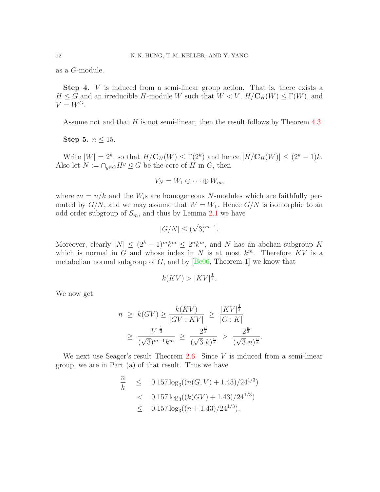as a G-module.

Step 4. V is induced from a semi-linear group action. That is, there exists a  $H \leq G$  and an irreducible H-module W such that  $W < V$ ,  $H/C_H(W) \leq \Gamma(W)$ , and  $V = W^G$ .

Assume not and that H is not semi-linear, then the result follows by Theorem [4.3.](#page-8-0)

Step 5.  $n \leq 15$ .

Write  $|W| = 2^k$ , so that  $H/\mathbf{C}_H(W) \leq \Gamma(2^k)$  and hence  $|H/\mathbf{C}_H(W)| \leq (2^k - 1)k$ . Also let  $N := \bigcap_{g \in G} H^g \subseteq G$  be the core of H in G, then

$$
V_N = W_1 \oplus \cdots \oplus W_m,
$$

where  $m = n/k$  and the  $W_i$ s are homogeneous N-modules which are faithfully permuted by  $G/N$ , and we may assume that  $W = W_1$ . Hence  $G/N$  is isomorphic to an odd order subgroup of  $S_m$ , and thus by Lemma [2.1](#page-2-2) we have

$$
|G/N| \le (\sqrt{3})^{m-1}.
$$

Moreover, clearly  $|N| \leq (2^k - 1)^m k^m \leq 2^n k^m$ , and N has an abelian subgroup K which is normal in G and whose index in N is at most  $k^m$ . Therefore KV is a metabelian normal subgroup of  $G$ , and by  $[Be06, Theorem 1]$  we know that

$$
k(KV) > |KV|^{\frac{1}{3}}.
$$

We now get

$$
n \ge k(GV) \ge \frac{k(KV)}{|GV:KV|} \ge \frac{|KV|^{\frac{1}{3}}}{|G:K|}
$$
  
 
$$
\ge \frac{|V|^{\frac{1}{3}}}{(\sqrt{3})^{m-1}k^m} \ge \frac{2^{\frac{n}{3}}}{(\sqrt{3}k)^{\frac{n}{k}}} > \frac{2^{\frac{n}{3}}}{(\sqrt{3}n)^{\frac{n}{k}}}
$$

.

We next use Seager's result Theorem  $2.6$ . Since V is induced from a semi-linear group, we are in Part (a) of that result. Thus we have

$$
\frac{n}{k} \le 0.157 \log_3((n(G, V) + 1.43)/24^{1/3})
$$
  
< 0.157 \log\_3((k(GV) + 1.43)/24^{1/3})  
< 0.157 \log\_3((n + 1.43)/24^{1/3}).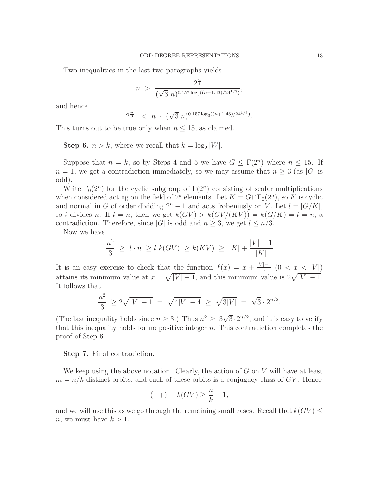Two inequalities in the last two paragraphs yields

$$
n > \frac{2^{\frac{n}{3}}}{(\sqrt{3} n)^{0.157 \log_3((n+1.43)/24^{1/3})}},
$$

and hence

$$
2^{\frac{n}{3}} < n \cdot (\sqrt{3} n)^{0.157 \log_3((n+1.43)/24^{1/3})}.
$$

This turns out to be true only when  $n \leq 15$ , as claimed.

**Step 6.**  $n > k$ , where we recall that  $k = \log_2 |W|$ .

Suppose that  $n = k$ , so by Steps 4 and 5 we have  $G \leq \Gamma(2^n)$  where  $n \leq 15$ . If  $n = 1$ , we get a contradiction immediately, so we may assume that  $n \geq 3$  (as |G| is odd).

Write  $\Gamma_0(2^n)$  for the cyclic subgroup of  $\Gamma(2^n)$  consisting of scalar multiplications when considered acting on the field of  $2^n$  elements. Let  $K = G \cap \Gamma_0(2^n)$ , so K is cyclic and normal in G of order dividing  $2^{n} - 1$  and acts frobeniusly on V. Let  $l = |G/K|$ , so l divides n. If  $l = n$ , then we get  $k(GV) > k(GV/(KV)) = k(G/K) = l = n$ , a contradiction. Therefore, since |G| is odd and  $n > 3$ , we get  $l \leq n/3$ .

Now we have

$$
\frac{n^2}{3} \ge l \cdot n \ge l \ k(GV) \ge k(KV) \ge |K| + \frac{|V| - 1}{|K|}.
$$

It is an easy exercise to check that the function  $f(x) = x + \frac{|V| - 1}{x}$  $\frac{1}{x}$  (0 < x <u>< |V|</u>) attains its minimum value at  $x = \sqrt{|V| - 1}$ , and this minimum value is  $2\sqrt{|V| - 1}$ . It follows that

$$
\frac{n^2}{3} \ge 2\sqrt{|V|-1} = \sqrt{4|V|-4} \ge \sqrt{3|V|} = \sqrt{3} \cdot 2^{n/2}.
$$

(The last inequality holds since  $n \geq 3$ .) Thus  $n^2 \geq 3\sqrt{3} \cdot 2^{n/2}$ , and it is easy to verify that this inequality holds for no positive integer  $n$ . This contradiction completes the proof of Step 6.

Step 7. Final contradiction.

We keep using the above notation. Clearly, the action of  $G$  on  $V$  will have at least  $m = n/k$  distinct orbits, and each of these orbits is a conjugacy class of GV. Hence

$$
(++) \qquad k(GV) \ge \frac{n}{k} + 1,
$$

and we will use this as we go through the remaining small cases. Recall that  $k(GV)$ *n*, we must have  $k > 1$ .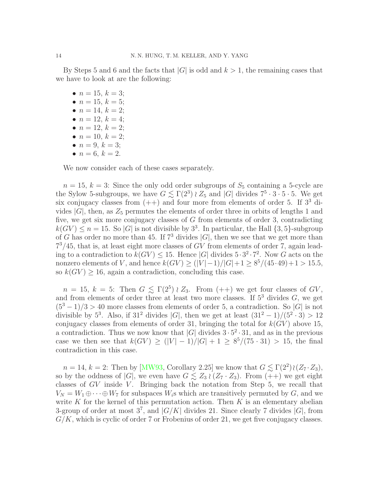By Steps 5 and 6 and the facts that  $|G|$  is odd and  $k > 1$ , the remaining cases that we have to look at are the following:

- $n = 15, k = 3;$
- $n = 15, k = 5;$
- $n = 14, k = 2;$
- $n = 12, k = 4;$
- $n = 12, k = 2;$
- $n = 10, k = 2;$
- $n = 9, k = 3;$ •  $n = 6, k = 2.$

We now consider each of these cases separately.

 $n = 15, k = 3$ : Since the only odd order subgroups of  $S_5$  containing a 5-cycle are the Sylow 5-subgroups, we have  $G \lesssim \Gamma(2^3) \wr Z_5$  and  $|G|$  divides  $7^5 \cdot 3 \cdot 5 \cdot 5$ . We get six conjugacy classes from  $(++)$  and four more from elements of order 5. If  $3<sup>3</sup>$  divides  $|G|$ , then, as  $Z_5$  permutes the elements of order three in orbits of lengths 1 and five, we get six more conjugacy classes of G from elements of order 3, contradicting  $k(GV) \leq n = 15$ . So |G| is not divisible by  $3^3$ . In particular, the Hall  $\{3, 5\}$ -subgroup of G has order no more than 45. If  $7^3$  divides  $|G|$ , then we see that we get more than  $7<sup>3</sup>/45$ , that is, at least eight more classes of GV from elements of order 7, again leading to a contradiction to  $k(GV) \le 15$ . Hence |G| divides  $5 \cdot 3^2 \cdot 7^2$ . Now G acts on the nonzero elements of V, and hence  $k(GV) \ge (|V| - 1)/|G| + 1 \ge 8^5/(45 \cdot 49) + 1 > 15.5$ , so  $k(GV) \ge 16$ , again a contradiction, concluding this case.

 $n = 15, k = 5$ : Then  $G \leq \Gamma(2^5) \wr Z_3$ . From  $(++)$  we get four classes of  $GV$ , and from elements of order three at least two more classes. If  $5<sup>3</sup>$  divides  $G$ , we get  $(5^3 - 1)/3 > 40$  more classes from elements of order 5, a contradiction. So |G| is not divisible by  $5^3$ . Also, if  $31^2$  divides |G|, then we get at least  $(31^2 - 1)/(5^2 \cdot 3) > 12$ conjugacy classes from elements of order 31, bringing the total for  $k(GV)$  above 15, a contradiction. Thus we now know that  $|G|$  divides  $3 \cdot 5^2 \cdot 31$ , and as in the previous case we then see that  $k(GV) \ge (|V| - 1)/|G| + 1 \ge 8^5/(75 \cdot 31) > 15$ , the final contradiction in this case.

 $n = 14, k = 2$ : Then by [\[MW93,](#page-15-12) Corollary 2.25] we know that  $G \lesssim \Gamma(2^2) \wr (Z_7 \cdot Z_3)$ , so by the oddness of |G|, we even have  $G \lesssim Z_3 \wr (Z_7 \cdot Z_3)$ . From  $(++)$  we get eight classes of  $GV$  inside  $V$ . Bringing back the notation from Step 5, we recall that  $V_N = W_1 \oplus \cdots \oplus W_7$  for subspaces  $W_i$ s which are transitively permuted by G, and we write K for the kernel of this permutation action. Then K is an elementary abelian 3-group of order at most  $3^7$ , and  $|G/K|$  divides 21. Since clearly 7 divides  $|G|$ , from  $G/K$ , which is cyclic of order 7 or Frobenius of order 21, we get five conjugacy classes.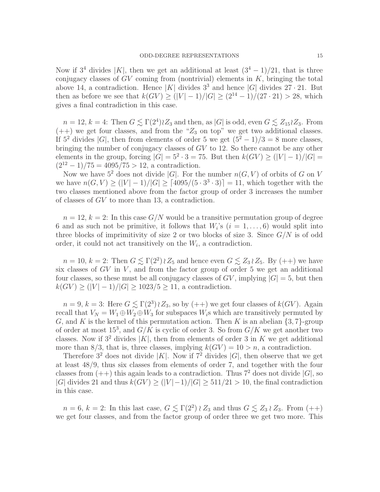Now if  $3^4$  divides |K|, then we get an additional at least  $(3^4 - 1)/21$ , that is three conjugacy classes of  $GV$  coming from (nontrivial) elements in  $K$ , bringing the total above 14, a contradiction. Hence |K| divides  $3^3$  and hence |G| divides  $27 \cdot 21$ . But then as before we see that  $k(GV) > (|V| - 1)/|G| > (2^{14} - 1)/(27 \cdot 21) > 28$ , which gives a final contradiction in this case.

 $n = 12, k = 4$ : Then  $G \lesssim \Gamma(2^4) \wr Z_3$  and then, as  $|G|$  is odd, even  $G \lesssim Z_{15} \wr Z_3$ . From  $(++)$  we get four classes, and from the " $Z_3$  on top" we get two additional classes. If  $5^2$  divides  $|G|$ , then from elements of order 5 we get  $(5^2 - 1)/3 = 8$  more classes, bringing the number of conjugacy classes of GV to 12. So there cannot be any other elements in the group, forcing  $|G| = 5^2 \cdot 3 = 75$ . But then  $k(GV) \geq (|V| - 1)/|G| =$  $(2^{12} - 1)/75 = 4095/75 > 12$ , a contradiction.

Now we have  $5^2$  does not divide |G|. For the number  $n(G, V)$  of orbits of G on V we have  $n(G, V) \ge (|V| - 1)/|G| \ge [4095/(5 \cdot 3^3 \cdot 3)] = 11$ , which together with the two classes mentioned above from the factor group of order 3 increases the number of classes of GV to more than 13, a contradiction.

 $n = 12, k = 2$ : In this case  $G/N$  would be a transitive permutation group of degree 6 and as such not be primitive, it follows that  $W_i$ 's  $(i = 1, \ldots, 6)$  would split into three blocks of imprimitivity of size 2 or two blocks of size 3. Since  $G/N$  is of odd order, it could not act transitively on the  $W_i$ , a contradiction.

 $n = 10, k = 2$ : Then  $G \lesssim \Gamma(2^2) \wr Z_5$  and hence even  $G \lesssim Z_3 \wr Z_5$ . By  $(++)$  we have six classes of  $GV$  in  $V$ , and from the factor group of order 5 we get an additional four classes, so these must be all conjugacy classes of  $GV$ , implying  $|G|=5$ , but then  $k(GV) \ge (|V| - 1)/|G| \ge 1023/5 \ge 11$ , a contradiction.

 $n = 9, k = 3$ : Here  $G \leq \Gamma(2^3) \wr Z_3$ , so by  $(++)$  we get four classes of  $k(GV)$ . Again recall that  $V_N = W_1 \oplus W_2 \oplus W_3$  for subspaces  $W_i$ s which are transitively permuted by G, and K is the kernel of this permutation action. Then K is an abelian  $\{3, 7\}$ -group of order at most  $15^3$ , and  $G/K$  is cyclic of order 3. So from  $G/K$  we get another two classes. Now if  $3^2$  divides |K|, then from elements of order 3 in K we get additional more than 8/3, that is, three classes, implying  $k(GV) = 10 > n$ , a contradiction.

Therefore  $3^2$  does not divide |K|. Now if  $7^2$  divides |G|, then observe that we get at least 48/9, thus six classes from elements of order 7, and together with the four classes from  $(++)$  this again leads to a contradiction. Thus  $7^2$  does not divide  $|G|$ , so  $|G|$  divides 21 and thus  $k(GV) \ge (|V|-1)/|G| \ge 511/21 > 10$ , the final contradiction in this case.

 $n = 6, k = 2$ : In this last case,  $G \lesssim \Gamma(2^2) \wr Z_3$  and thus  $G \lesssim Z_3 \wr Z_3$ . From  $(++)$ we get four classes, and from the factor group of order three we get two more. This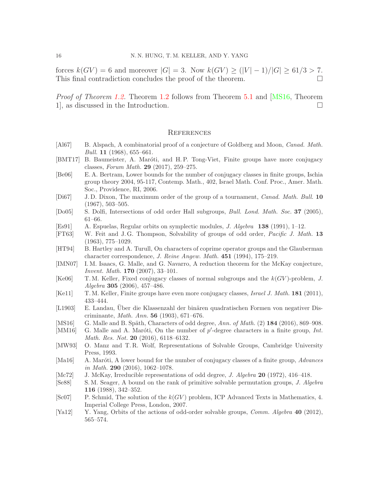forces  $k(GV) = 6$  and moreover  $|G| = 3$ . Now  $k(GV) \geq (|V| - 1)/|G| \geq 61/3 > 7$ .<br>This final contradiction concludes the proof of the theorem This final contradiction concludes the proof of the theorem.

*Proof of Theorem [1.2.](#page-1-1)* Theorem [1.2](#page-1-1) follows from Theorem [5.1](#page-10-0) and [\[MS16,](#page-15-2) Theorem 1], as discussed in the Introduction.

# **REFERENCES**

- <span id="page-15-10"></span>[Al67] B. Alspach, A combinatorial proof of a conjecture of Goldberg and Moon, *Canad. Math. Bull.* **11** (1968), 655–661.
- <span id="page-15-7"></span>[BMT17] B. Baumeister, A. Maróti, and H.P. Tong-Viet, Finite groups have more conjugacy classes, Forum Math. 29 (2017), 259–275.
- <span id="page-15-19"></span>[Be06] E. A. Bertram, Lower bounds for the number of conjugacy classes in finite groups, Ischia group theory 2004, 95-117, Contemp. Math., 402, Israel Math. Conf. Proc., Amer. Math. Soc., Providence, RI, 2006.
- <span id="page-15-9"></span>[Di67] J. D. Dixon, The maximum order of the group of a tournament, Canad. Math. Bull. 10 (1967), 503–505.
- <span id="page-15-11"></span>[Do05] S. Dolfi, Intersections of odd order Hall subgroups, Bull. Lond. Math. Soc. 37 (2005), 61–66.
- <span id="page-15-17"></span>[Es91] A. Espuelas, Regular orbits on symplectic modules, J. Algebra 138 (1991), 1–12.
- <span id="page-15-14"></span>[FT63] W. Feit and J. G. Thompson, Solvability of groups of odd order, Pacific J. Math. 13 (1963), 775–1029.
- <span id="page-15-3"></span>[HT94] B. Hartley and A. Turull, On characters of coprime operator groups and the Glauberman character correspondence, J. Reine Angew. Math. 451 (1994), 175–219.
- <span id="page-15-1"></span>[IMN07] I. M. Isaacs, G. Malle, and G. Navarro, A reduction theorem for the McKay conjecture, Invent. Math. 170 (2007), 33–101.
- <span id="page-15-18"></span>[Ke06] T.M. Keller, Fixed conjugacy classes of normal subgroups and the  $k(GV)$ -problem, J. Algebra 305 (2006), 457–486.
- <span id="page-15-4"></span>[Ke11] T. M. Keller, Finite groups have even more conjugacy classes, *Israel J. Math.* 181 (2011), 433–444.
- <span id="page-15-5"></span>[L1903] E. Landau, Uber die Klassenzahl der binären quadratischen Formen von negativer Discriminante, Math. Ann. 56 (1903), 671–676.
- <span id="page-15-2"></span>[MS16] G. Malle and B. Späth, Characters of odd degree,  $Ann.$  of Math. (2)  $184$  (2016), 869–908.
- <span id="page-15-8"></span>[MM16] G. Malle and A. Maróti, On the number of p'-degree characters in a finite group, Int. Math. Res. Not. 20 (2016), 6118-6132.
- <span id="page-15-12"></span>[MW93] O. Manz and T. R. Wolf, Representations of Solvable Groups, Cambridge University Press, 1993.
- <span id="page-15-6"></span>[Ma16] A. Maróti, A lower bound for the number of conjugacy classes of a finite group,  $Advances$ in Math. 290  $(2016)$ , 1062-1078.
- <span id="page-15-0"></span>[Mc72] J. McKay, Irreducible representations of odd degree, *J. Algebra* 20 (1972), 416–418.
- <span id="page-15-13"></span>[Se88] S.M. Seager, A bound on the rank of primitive solvable permutation groups, J. Algebra 116 (1988), 342–352.
- <span id="page-15-15"></span>[Sc07] P. Schmid, The solution of the  $k(GV)$  problem, ICP Advanced Texts in Mathematics, 4. Imperial College Press, London, 2007.
- <span id="page-15-16"></span>[Ya12] Y. Yang, Orbits of the actions of odd-order solvable groups, Comm. Algebra 40 (2012), 565–574.